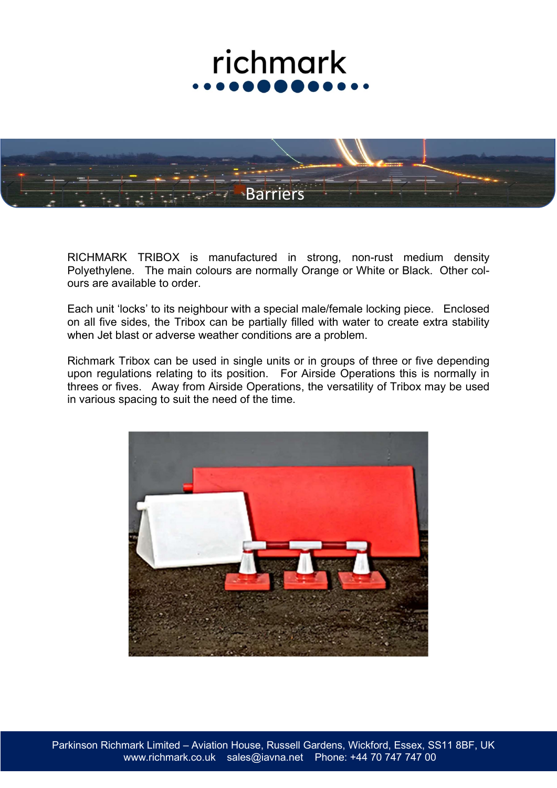

RICHMARK TRIBOX is manufactured in strong, non-rust medium density Polyethylene. The main colours are normally Orange or White or Black. Other colours are available to order.

Each unit 'locks' to its neighbour with a special male/female locking piece. Enclosed on all five sides, the Tribox can be partially filled with water to create extra stability when Jet blast or adverse weather conditions are a problem.

Richmark Tribox can be used in single units or in groups of three or five depending upon regulations relating to its position. For Airside Operations this is normally in threes or fives. Away from Airside Operations, the versatility of Tribox may be used in various spacing to suit the need of the time.